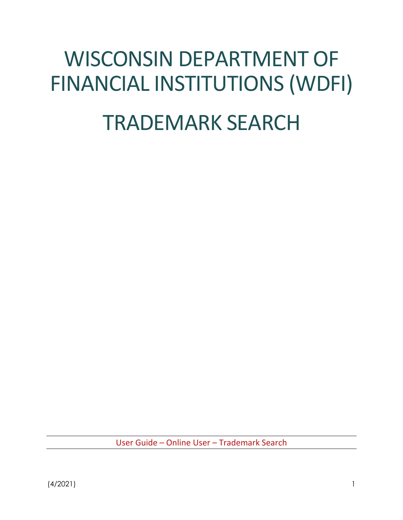# WISCONSIN DEPARTMENT OF FINANCIAL INSTITUTIONS (WDFI)

# TRADEMARK SEARCH

User Guide – Online User – Trademark Search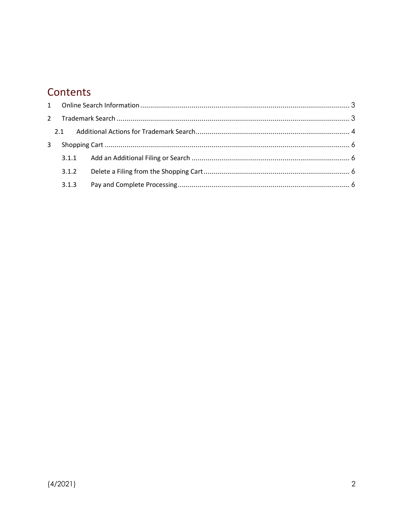## Contents

|   | $2^{\circ}$ |  |
|---|-------------|--|
|   | 2.1         |  |
| 3 |             |  |
|   |             |  |
|   | 3.1.2       |  |
|   | 3.1.3       |  |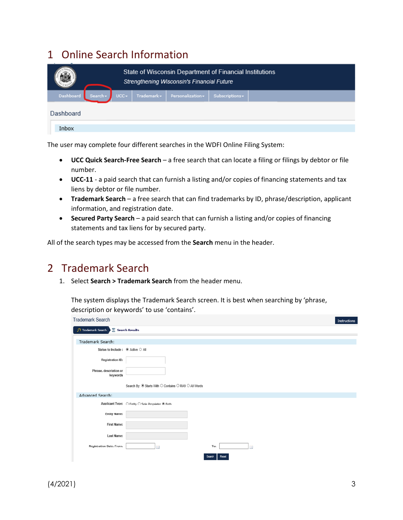## <span id="page-2-0"></span>1 Online Search Information

|                            |         | State of Wisconsin Department of Financial Institutions<br><b>Strengthening Wisconsin's Financial Future</b> |                 |  |  |
|----------------------------|---------|--------------------------------------------------------------------------------------------------------------|-----------------|--|--|
| Dashboard Search $\bullet$ | $UCC -$ | Trademark - Personalization -                                                                                | Subscriptions - |  |  |
| Dashboard                  |         |                                                                                                              |                 |  |  |
| Inbox                      |         |                                                                                                              |                 |  |  |

The user may complete four different searches in the WDFI Online Filing System:

- **UCC Quick Search-Free Search** a free search that can locate a filing or filings by debtor or file number.
- **UCC-11** a paid search that can furnish a listing and/or copies of financing statements and tax liens by debtor or file number.
- **Trademark Search** a free search that can find trademarks by ID, phrase/description, applicant information, and registration date.
- **Secured Party Search** a paid search that can furnish a listing and/or copies of financing statements and tax liens for by secured party.

All of the search types may be accessed from the **Search** menu in the header.

## <span id="page-2-1"></span>2 Trademark Search

1. Select **Search > Trademark Search** from the header menu.

The system displays the Trademark Search screen. It is best when searching by 'phrase, description or keywords' to use 'contains'.

| Trademark Search                                |                                                       |        |       |                | Instructions |
|-------------------------------------------------|-------------------------------------------------------|--------|-------|----------------|--------------|
| $\Omega$ Trademark Search $\sum$ Search Results |                                                       |        |       |                |              |
| Trademark Search:                               |                                                       |        |       |                |              |
| Status to Include : ● Active ○ All              |                                                       |        |       |                |              |
| <b>Registration ID:</b>                         |                                                       |        |       |                |              |
| Phrase, description or<br>keywords              |                                                       |        |       |                |              |
|                                                 | Search By: @ Starts With O Contains O RA9 O All Words |        |       |                |              |
| Advanced Search:                                |                                                       |        |       |                |              |
|                                                 | Applicant Type: ○ Entity ○ Sole Proprietor ● Both     |        |       |                |              |
| <b>Entity Name:</b>                             |                                                       |        |       |                |              |
| <b>First Name:</b>                              |                                                       |        |       |                |              |
| Last Name:                                      |                                                       |        |       |                |              |
| <b>Registration Date: From:</b>                 |                                                       | To:    |       | $\overline{ }$ |              |
|                                                 |                                                       | Search | Reset |                |              |
|                                                 |                                                       |        |       |                |              |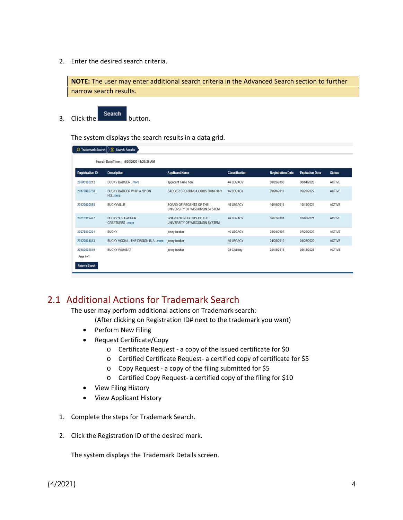2. Enter the desired search criteria.

**NOTE:** The user may enter additional search criteria in the Advanced Search section to further narrow search results.

 $\overline{\phantom{a}}$  3. Click the  $\overline{\phantom{a}}$  Search button.

The system displays the search results in a data grid.

|                            | $\Box$ Trademark Search $\Box$ Search Results    |                                                                  |                       |                          |                        |               |
|----------------------------|--------------------------------------------------|------------------------------------------------------------------|-----------------------|--------------------------|------------------------|---------------|
|                            | Search Date/Time: 5/20/2020 11:27:36 AM          |                                                                  |                       |                          |                        |               |
| <b>Registration ID</b>     | <b>Description</b>                               | <b>Applicant Name</b>                                            | <b>Classification</b> | <b>Registration Date</b> | <b>Expiration Date</b> | <b>Status</b> |
| 20005100212                | <b>BUCKY BADGER</b> more                         | applicant name here                                              | 46 LEGACY             | 08/02/2000               | 08/04/2020             | <b>ACTIVE</b> |
| 20170002788                | BUCKY BADGER WITH A "B" ON<br>HISmore            | <b>BADGER SPORTING GOODS COMPANY</b>                             | <b>46 LEGACY</b>      | 09/20/2017               | 09/20/2027             | <b>ACTIVE</b> |
| 20120000585                | <b>BUCKYVILLE</b>                                | BOARD OF REGENTS OF THE<br>UNIVERSITY OF WISCONSIN SYSTEM        | 46 LEGACY             | 10/19/2011               | 10/19/2021             | <b>ACTIVE</b> |
| 20015102477                | <b>BUCKY'S BLEACHER</b><br><b>CREATURES</b> more | <b>BOARD OF REGENTS OF THE</b><br>UNIVERSITY OF WISCONSIN SYSTEM | <b>46 LEGACY</b>      | 06/27/2001               | 07/06/2021             | <b>ACTIVE</b> |
| 20075800201                | <b>BUCKY</b>                                     | jenny booker                                                     | 46 LEGACY             | 08/01/2007               | 07/26/2027             | <b>ACTIVE</b> |
| 20120001813                | BUCKY VODKA - THE DESIGN IS A  more              | jenny booker                                                     | 46 LEGACY             | 04/25/2012               | 04/25/2022             | <b>ACTIVE</b> |
| 20180002819<br>Page 1 of 1 | <b>BUCKY WOMBAT</b>                              | jenny booker                                                     | 25 Clothing           | 08/15/2018               | 08/15/2028             | <b>ACTIVE</b> |
| <b>Return to Search</b>    |                                                  |                                                                  |                       |                          |                        |               |

### <span id="page-3-0"></span>2.1 Additional Actions for Trademark Search

The user may perform additional actions on Trademark search:

(After clicking on Registration ID# next to the trademark you want)

- Perform New Filing
- Request Certificate/Copy
	- o Certificate Request a copy of the issued certificate for \$0
	- o Certified Certificate Request- a certified copy of certificate for \$5
	- o Copy Request a copy of the filing submitted for \$5
	- o Certified Copy Request- a certified copy of the filing for \$10
- View Filing History
- View Applicant History
- 1. Complete the steps for Trademark Search.
- 2. Click the Registration ID of the desired mark.

The system displays the Trademark Details screen.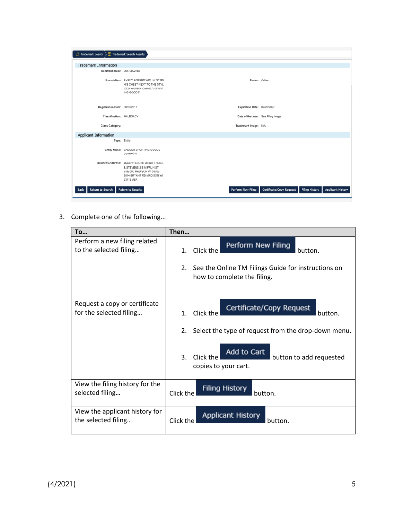| <b>O</b> Trademark Search       | Trademark Search Results                                                                                                                     |                                     |                                                   |                          |
|---------------------------------|----------------------------------------------------------------------------------------------------------------------------------------------|-------------------------------------|---------------------------------------------------|--------------------------|
| <b>Trademark Information</b>    |                                                                                                                                              |                                     |                                                   |                          |
| Registration ID: 20170002788    |                                                                                                                                              |                                     |                                                   |                          |
|                                 | Description: BUCKY BADGER WITH A "B" ON<br>HIS CHEST NEXT TO THE STYL<br>IZED WORDS "BADGER SPORT<br>ING GOODS"                              | Status: Aotive                      |                                                   |                          |
| Registration Date: 09/20/2017   |                                                                                                                                              | Expiration Date: 09/20/2027         |                                                   |                          |
| Classification: 46-LEGACY       |                                                                                                                                              | Date of first use: See Filing Image |                                                   |                          |
| Class Category:                 |                                                                                                                                              | Trademark Image: N/A                |                                                   |                          |
| Applicant Information           |                                                                                                                                              |                                     |                                                   |                          |
| Type: Entity                    |                                                                                                                                              |                                     |                                                   |                          |
|                                 | Entity Name: BADGER SPORTING GOODS<br>COMPANY                                                                                                |                                     |                                                   |                          |
|                                 | Business Address: JOSEPH LEONE DEWITT ROSS<br>& STEVENS 2 E MIFFLIN ST<br>STE 600 MADISON WI 53703<br>2814 BRYANT RD MADISON WI<br>53713 USA |                                     |                                                   |                          |
| Return to Search<br><b>Back</b> | <b>Return to Results</b>                                                                                                                     | Perform New Filing                  | Certificate/Copy Request<br><b>Filing History</b> | <b>Applicant History</b> |

3. Complete one of the following...

| <b>To</b>                                                | Then                                                                                     |
|----------------------------------------------------------|------------------------------------------------------------------------------------------|
| Perform a new filing related<br>to the selected filing   | Perform New Filing<br>Click the<br>1.<br>button.                                         |
|                                                          | See the Online TM Filings Guide for instructions on<br>2.<br>how to complete the filing. |
| Request a copy or certificate<br>for the selected filing | Certificate/Copy Request<br>Click the<br>$\mathbf{1}$ .<br>button.                       |
|                                                          | Select the type of request from the drop-down menu.<br>2.                                |
|                                                          | Add to Cart<br>3.<br>Click the<br>button to add requested<br>copies to your cart.        |
| View the filing history for the<br>selected filing       | <b>Filing History</b><br>Click the<br>button.                                            |
| View the applicant history for<br>the selected filing    | <b>Applicant History</b><br>Click the<br>button.                                         |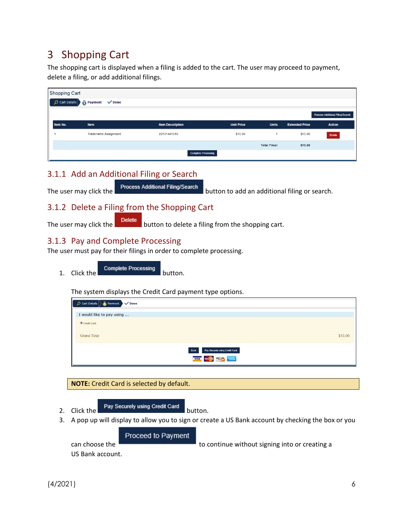## <span id="page-5-0"></span>3 Shopping Cart

The shopping cart is displayed when a filing is added to the cart. The user may proceed to payment, delete a filing, or add additional filings.

| <b>Shopping Cart</b>         |                      |                            |                   |                     |                       |                                         |
|------------------------------|----------------------|----------------------------|-------------------|---------------------|-----------------------|-----------------------------------------|
| $\circ$ Cart Details $\vert$ | Payment V Done       |                            |                   |                     |                       |                                         |
|                              |                      |                            |                   |                     |                       | <b>Process Additional Filing/Search</b> |
| Item No.                     | Item                 | <b>Item Description</b>    | <b>Unit Price</b> | <b>Units</b>        | <b>Extended Price</b> | <b>Action</b>                           |
|                              | Tradename Assignment | 20131441510                | \$15.00           |                     | \$15.00               | <b>Delete</b>                           |
|                              |                      |                            |                   | <b>Total Price:</b> | \$15.00               |                                         |
|                              |                      | <b>Complete Processing</b> |                   |                     |                       |                                         |

### <span id="page-5-1"></span>3.1.1 Add an Additional Filing or Search

The user may click the **process Additional Filing/Search** button to add an additional filing or search.

#### <span id="page-5-2"></span>3.1.2 Delete a Filing from the Shopping Cart

The user may click the **Delete** button to delete a filing from the shopping cart.

#### <span id="page-5-3"></span>3.1.3 Pay and Complete Processing

The user must pay for their filings in order to complete processing.

1. Click the complete Processing button.

The system displays the Credit Card payment type options.

| Cart Details > Payment                 |         |
|----------------------------------------|---------|
| I would like to pay using              |         |
| Credit Card                            |         |
| <b>Grand Total</b>                     | \$15.00 |
| Back<br>Pay Securely using Credit Card |         |
| VISA MARICAN DISCUSS ANTENNA           |         |

**NOTE:** Credit Card is selected by default.

2. Click the **Pay Securely using Credit Card** button.

3. A pop up will display to allow you to sign or create a US Bank account by checking the box or you

Proceed to Payment

can choose the **the to continue without signing into or creating a** 

US Bank account.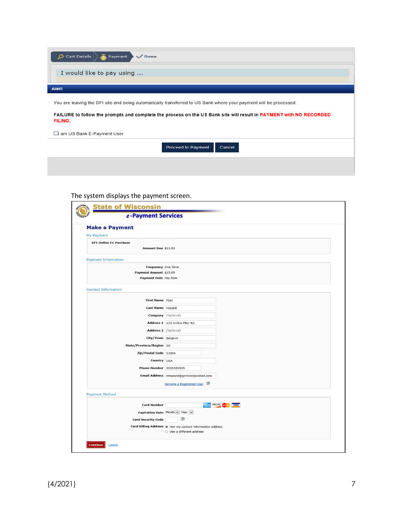| $\Omega$ Cart Details<br>Payment<br>$\sqrt{}$ Done                                                                            |
|-------------------------------------------------------------------------------------------------------------------------------|
| I would like to pay using                                                                                                     |
| Alert                                                                                                                         |
| You are leaving the DFI site and being automatically transferred to US Bank where your payment will be processed.             |
| FAILURE to follow the prompts and complete the process on the US Bank site will result in PAYMENT with NO RECORDED<br>FILING. |
| $\Box$ am US Bank E-Payment User                                                                                              |
| Proceed to Payment<br>Cancel                                                                                                  |

#### The system displays the payment screen.

| <b>State of Wisconsin</b><br>e-Payment Services                      |                                                                                                 |
|----------------------------------------------------------------------|-------------------------------------------------------------------------------------------------|
| <b>Make a Payment</b>                                                |                                                                                                 |
| <b>My Payment</b>                                                    |                                                                                                 |
| <b>DFI Online CC Purchase</b><br>Amount Due \$15.00                  |                                                                                                 |
| <b>Payment Information</b>                                           |                                                                                                 |
| Frequency One Time<br>Payment Amount \$15.00<br>Payment Date Pay Now |                                                                                                 |
| <b>Contact Information</b>                                           |                                                                                                 |
|                                                                      |                                                                                                 |
| First Name Matt                                                      |                                                                                                 |
| Last Name Hazard                                                     |                                                                                                 |
|                                                                      | Company (Optional)                                                                              |
|                                                                      | Address 1 123 Online Filer Rd.                                                                  |
| Address 2 (Optional)                                                 |                                                                                                 |
| City/Town Belgium                                                    |                                                                                                 |
| State/Province/Region WI                                             |                                                                                                 |
| Zip/Postal Code 53004                                                |                                                                                                 |
| Country USA                                                          |                                                                                                 |
| <b>Phone Number 55555555555</b>                                      |                                                                                                 |
|                                                                      | Email Address mhazard@gcrincorporated.com                                                       |
|                                                                      | Q.<br><b>Become a Registered User</b>                                                           |
| <b>Payment Method</b>                                                |                                                                                                 |
| <b>Card Number</b>                                                   | <b>VISA</b>                                                                                     |
|                                                                      | Expiration Date Month v Year v                                                                  |
| <b>Card Security Code</b>                                            | Ø                                                                                               |
|                                                                      | Card Billing Address . Use my contact information address<br>$\bigcirc$ Use a different address |
| <b>Continue</b><br>Cancel                                            |                                                                                                 |